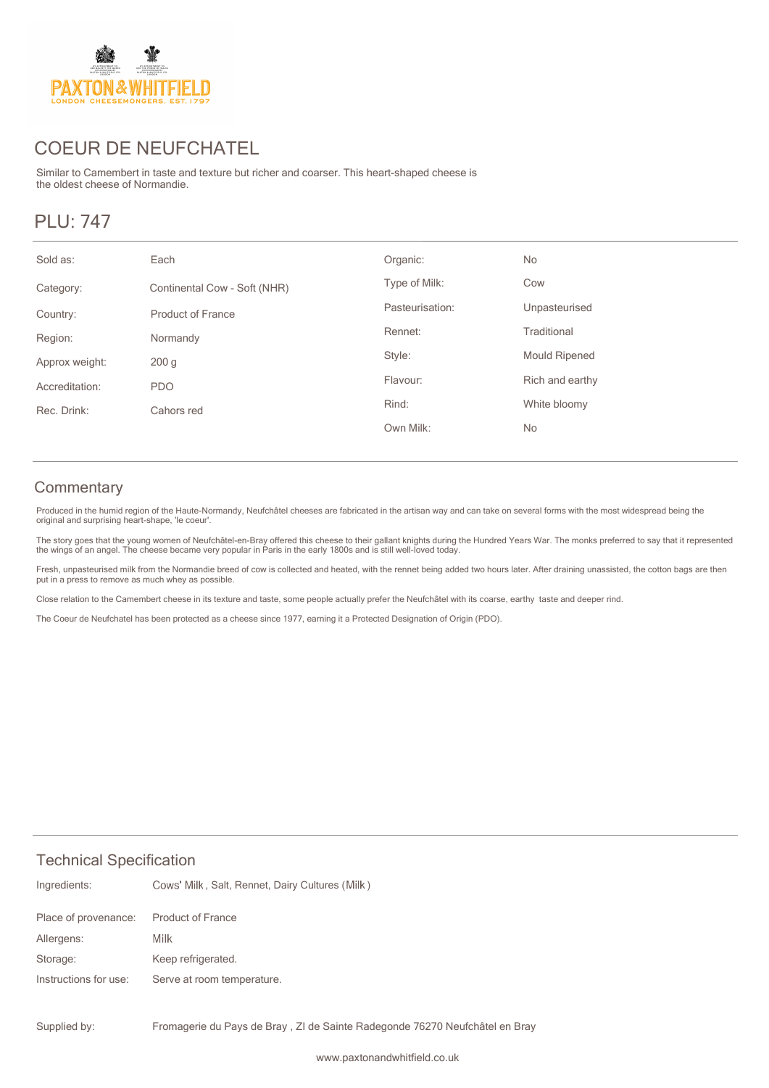

# COEUR DE NEUFCHATEL

Similar to Camembert in taste and texture but richer and coarser. This heart-shaped cheese is the oldest cheese of Normandie.

## PLU: 747

#### **Commentary**

Produced in the humid region of the Haute-Normandy, Neufchâtel cheeses are fabricated in the artisan way and can take on several forms with the most widespread being the original and surprising heart-shape, 'le coeur'.

The story goes that the young women of Neufchâtel-en-Bray offered this cheese to their gallant knights during the Hundred Years War. The monks preferred to say that it represented<br>the wings of an angel. The cheese became v

Fresh, unpasteurised milk from the Normandie breed of cow is collected and heated, with the rennet being added two hours later. After draining unassisted, the cotton bags are then put in a press to remove as much whey as possible.

Close relation to the Camembert cheese in its texture and taste, some people actually prefer the Neufchâtel with its coarse, earthy taste and deeper rind.

The Coeur de Neufchatel has been protected as a cheese since 1977, earning it a Protected Designation of Origin (PDO).

#### Technical Specification

| Ingredients:          | Cows' Milk, Salt, Rennet, Dairy Cultures (Milk) |
|-----------------------|-------------------------------------------------|
| Place of provenance:  | <b>Product of France</b>                        |
| Allergens:            | Milk                                            |
| Storage:              | Keep refrigerated.                              |
| Instructions for use: | Serve at room temperature.                      |
|                       |                                                 |

Fromagerie du Pays de Bray , ZI de Sainte Radegonde 76270 Neufchâtel en Bray Supplied by: